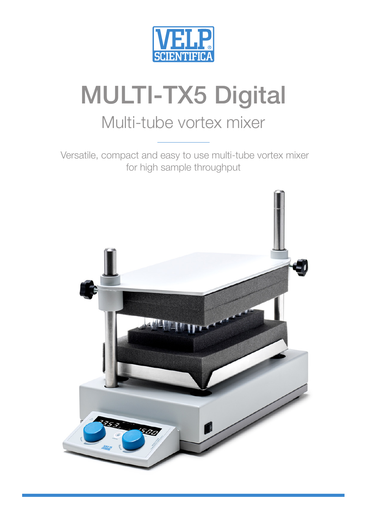

# MULTI-TX5 Digital

# Multi-tube vortex mixer

 Versatile, compact and easy to use multi-tube vortex mixer for high sample throughput